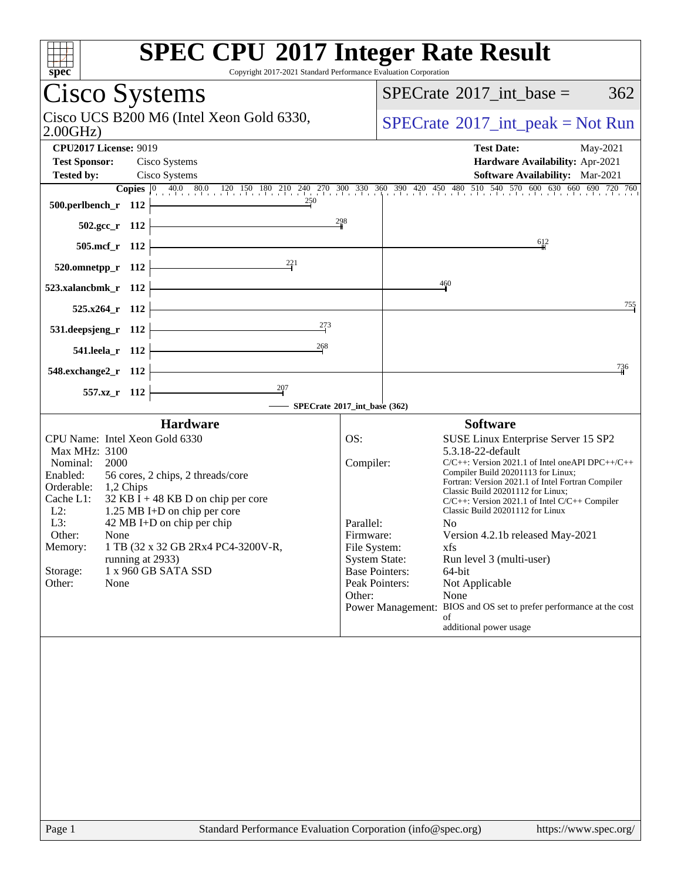| <b>SPEC CPU®2017 Integer Rate Result</b><br>spec<br>Copyright 2017-2021 Standard Performance Evaluation Corporation                                                                                                                                                                                                                                                                                                                             |                                                      |                                                                                                                                                                                                                                                                                                                                                                                                                                                                                                                                                                                                                                                                               |     |
|-------------------------------------------------------------------------------------------------------------------------------------------------------------------------------------------------------------------------------------------------------------------------------------------------------------------------------------------------------------------------------------------------------------------------------------------------|------------------------------------------------------|-------------------------------------------------------------------------------------------------------------------------------------------------------------------------------------------------------------------------------------------------------------------------------------------------------------------------------------------------------------------------------------------------------------------------------------------------------------------------------------------------------------------------------------------------------------------------------------------------------------------------------------------------------------------------------|-----|
| Cisco Systems                                                                                                                                                                                                                                                                                                                                                                                                                                   |                                                      | $SPECTate$ <sup>®</sup> 2017_int_base =                                                                                                                                                                                                                                                                                                                                                                                                                                                                                                                                                                                                                                       | 362 |
| Cisco UCS B200 M6 (Intel Xeon Gold 6330,<br>2.00GHz                                                                                                                                                                                                                                                                                                                                                                                             |                                                      | $SPECrate^{\circledcirc}2017\_int\_peak = Not Run$                                                                                                                                                                                                                                                                                                                                                                                                                                                                                                                                                                                                                            |     |
| <b>CPU2017 License: 9019</b>                                                                                                                                                                                                                                                                                                                                                                                                                    |                                                      | <b>Test Date:</b><br>May-2021                                                                                                                                                                                                                                                                                                                                                                                                                                                                                                                                                                                                                                                 |     |
| <b>Test Sponsor:</b><br>Cisco Systems                                                                                                                                                                                                                                                                                                                                                                                                           |                                                      | Hardware Availability: Apr-2021                                                                                                                                                                                                                                                                                                                                                                                                                                                                                                                                                                                                                                               |     |
| <b>Tested by:</b><br>Cisco Systems                                                                                                                                                                                                                                                                                                                                                                                                              |                                                      | Software Availability: Mar-2021                                                                                                                                                                                                                                                                                                                                                                                                                                                                                                                                                                                                                                               |     |
| 250<br><u> 1980 - Johann Barbara, martin a</u><br>500.perlbench_r 112                                                                                                                                                                                                                                                                                                                                                                           |                                                      | <b>Copies</b> $\begin{bmatrix} 0 & 40.0 & 80.0 & 120 & 150 & 180 & 210 & 240 & 270 & 300 & 330 & 360 & 390 & 420 & 450 & 480 & 510 & 540 & 570 & 600 & 630 & 660 & 690 & 720 & 760 \end{bmatrix}$                                                                                                                                                                                                                                                                                                                                                                                                                                                                             |     |
| 502.gcc_r 112                                                                                                                                                                                                                                                                                                                                                                                                                                   | 298                                                  |                                                                                                                                                                                                                                                                                                                                                                                                                                                                                                                                                                                                                                                                               |     |
| 505.mcf_r 112                                                                                                                                                                                                                                                                                                                                                                                                                                   |                                                      | $-612$                                                                                                                                                                                                                                                                                                                                                                                                                                                                                                                                                                                                                                                                        |     |
| $\frac{221}{2}$<br>$520.$ omnetpp_r 112                                                                                                                                                                                                                                                                                                                                                                                                         |                                                      |                                                                                                                                                                                                                                                                                                                                                                                                                                                                                                                                                                                                                                                                               |     |
| 523.xalancbmk_r 112                                                                                                                                                                                                                                                                                                                                                                                                                             |                                                      | $\frac{460}{4}$                                                                                                                                                                                                                                                                                                                                                                                                                                                                                                                                                                                                                                                               |     |
| $525.x264$ r 112                                                                                                                                                                                                                                                                                                                                                                                                                                |                                                      |                                                                                                                                                                                                                                                                                                                                                                                                                                                                                                                                                                                                                                                                               | 755 |
| 273<br>531.deepsjeng_r 112                                                                                                                                                                                                                                                                                                                                                                                                                      |                                                      |                                                                                                                                                                                                                                                                                                                                                                                                                                                                                                                                                                                                                                                                               |     |
| 268<br><u> 1989 - Johann Barn, fransk politik (</u><br>541.leela_r 112                                                                                                                                                                                                                                                                                                                                                                          |                                                      |                                                                                                                                                                                                                                                                                                                                                                                                                                                                                                                                                                                                                                                                               |     |
| 548.exchange2_r 112                                                                                                                                                                                                                                                                                                                                                                                                                             |                                                      |                                                                                                                                                                                                                                                                                                                                                                                                                                                                                                                                                                                                                                                                               | 736 |
| 557.xz_r 112                                                                                                                                                                                                                                                                                                                                                                                                                                    |                                                      |                                                                                                                                                                                                                                                                                                                                                                                                                                                                                                                                                                                                                                                                               |     |
| SPECrate®2017_int_base (362)                                                                                                                                                                                                                                                                                                                                                                                                                    |                                                      |                                                                                                                                                                                                                                                                                                                                                                                                                                                                                                                                                                                                                                                                               |     |
| <b>Hardware</b><br>CPU Name: Intel Xeon Gold 6330<br>Max MHz: 3100<br>Nominal:<br>2000<br>Enabled:<br>56 cores, 2 chips, 2 threads/core<br>Orderable: 1,2 Chips<br>Cache L1:<br>$32$ KB I + 48 KB D on chip per core<br>$L2$ :<br>1.25 MB I+D on chip per core<br>42 MB I+D on chip per chip<br>L3:<br>Other:<br>None<br>1 TB (32 x 32 GB 2Rx4 PC4-3200V-R,<br>Memory:<br>running at 2933)<br>1 x 960 GB SATA SSD<br>Storage:<br>Other:<br>None | OS:<br>Compiler:<br>Parallel:<br>Firmware:<br>Other: | <b>Software</b><br>SUSE Linux Enterprise Server 15 SP2<br>5.3.18-22-default<br>$C/C++$ : Version 2021.1 of Intel oneAPI DPC++/C++<br>Compiler Build 20201113 for Linux;<br>Fortran: Version 2021.1 of Intel Fortran Compiler<br>Classic Build 20201112 for Linux;<br>C/C++: Version 2021.1 of Intel C/C++ Compiler<br>Classic Build 20201112 for Linux<br>N <sub>0</sub><br>Version 4.2.1b released May-2021<br>File System:<br>xfs<br><b>System State:</b><br>Run level 3 (multi-user)<br><b>Base Pointers:</b><br>64-bit<br>Peak Pointers:<br>Not Applicable<br>None<br>Power Management: BIOS and OS set to prefer performance at the cost<br>of<br>additional power usage |     |
|                                                                                                                                                                                                                                                                                                                                                                                                                                                 |                                                      |                                                                                                                                                                                                                                                                                                                                                                                                                                                                                                                                                                                                                                                                               |     |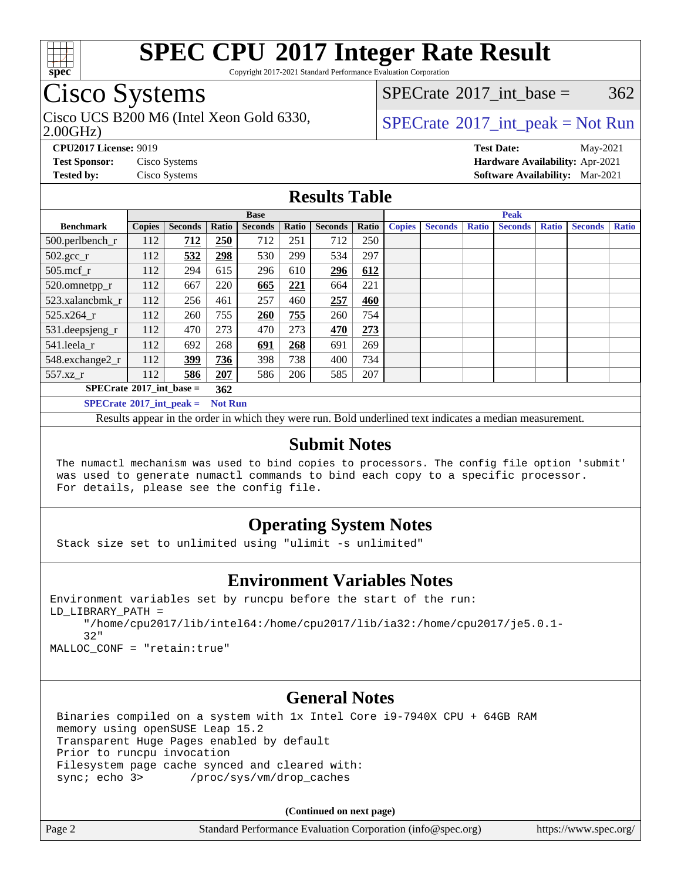

Copyright 2017-2021 Standard Performance Evaluation Corporation

## Cisco Systems

2.00GHz) Cisco UCS B200 M6 (Intel Xeon Gold 6330,  $SPECTR = SPECrate@2017 int peak = Not Run$  $SPECTR = SPECrate@2017 int peak = Not Run$  $SPECTR = SPECrate@2017 int peak = Not Run$ 

[SPECrate](http://www.spec.org/auto/cpu2017/Docs/result-fields.html#SPECrate2017intbase)<sup>®</sup>2017 int base =  $362$ 

**[CPU2017 License:](http://www.spec.org/auto/cpu2017/Docs/result-fields.html#CPU2017License)** 9019 **[Test Date:](http://www.spec.org/auto/cpu2017/Docs/result-fields.html#TestDate)** May-2021 **[Test Sponsor:](http://www.spec.org/auto/cpu2017/Docs/result-fields.html#TestSponsor)** Cisco Systems **[Hardware Availability:](http://www.spec.org/auto/cpu2017/Docs/result-fields.html#HardwareAvailability)** Apr-2021 **[Tested by:](http://www.spec.org/auto/cpu2017/Docs/result-fields.html#Testedby)** Cisco Systems **[Software Availability:](http://www.spec.org/auto/cpu2017/Docs/result-fields.html#SoftwareAvailability)** Mar-2021

### **[Results Table](http://www.spec.org/auto/cpu2017/Docs/result-fields.html#ResultsTable)**

|                                   | <b>Base</b>   |                |                |                |       | <b>Peak</b>    |       |               |                |              |                |              |                |              |
|-----------------------------------|---------------|----------------|----------------|----------------|-------|----------------|-------|---------------|----------------|--------------|----------------|--------------|----------------|--------------|
| <b>Benchmark</b>                  | <b>Copies</b> | <b>Seconds</b> | Ratio          | <b>Seconds</b> | Ratio | <b>Seconds</b> | Ratio | <b>Copies</b> | <b>Seconds</b> | <b>Ratio</b> | <b>Seconds</b> | <b>Ratio</b> | <b>Seconds</b> | <b>Ratio</b> |
| 500.perlbench_r                   | 112           | <u>712</u>     | 250            | 712            | 251   | 712            | 250   |               |                |              |                |              |                |              |
| $502.\text{gcc}_r$                | 112           | 532            | 298            | 530            | 299   | 534            | 297   |               |                |              |                |              |                |              |
| $505$ .mcf r                      | 112           | 294            | 615            | 296            | 610   | 296            | 612   |               |                |              |                |              |                |              |
| 520.omnetpp_r                     | 112           | 667            | 220            | 665            | 221   | 664            | 221   |               |                |              |                |              |                |              |
| 523.xalancbmk r                   | 112           | 256            | 461            | 257            | 460   | 257            | 460   |               |                |              |                |              |                |              |
| 525.x264 r                        | 112           | 260            | 755            | 260            | 755   | 260            | 754   |               |                |              |                |              |                |              |
| $531.$ deepsjeng $_r$             | 112           | 470            | 273            | 470            | 273   | 470            | 273   |               |                |              |                |              |                |              |
| 541.leela_r                       | 112           | 692            | 268            | 691            | 268   | 691            | 269   |               |                |              |                |              |                |              |
| 548.exchange2_r                   | 112           | 399            | 736            | 398            | 738   | 400            | 734   |               |                |              |                |              |                |              |
| 557.xz r                          | 112           | 586            | 207            | 586            | 206   | 585            | 207   |               |                |              |                |              |                |              |
| $SPECrate^{\circ}2017$ int base = |               | 362            |                |                |       |                |       |               |                |              |                |              |                |              |
| $SPECrate^{\circ}2017$ int peak = |               |                | <b>Not Run</b> |                |       |                |       |               |                |              |                |              |                |              |

Results appear in the [order in which they were run](http://www.spec.org/auto/cpu2017/Docs/result-fields.html#RunOrder). Bold underlined text [indicates a median measurement](http://www.spec.org/auto/cpu2017/Docs/result-fields.html#Median).

### **[Submit Notes](http://www.spec.org/auto/cpu2017/Docs/result-fields.html#SubmitNotes)**

 The numactl mechanism was used to bind copies to processors. The config file option 'submit' was used to generate numactl commands to bind each copy to a specific processor. For details, please see the config file.

### **[Operating System Notes](http://www.spec.org/auto/cpu2017/Docs/result-fields.html#OperatingSystemNotes)**

Stack size set to unlimited using "ulimit -s unlimited"

### **[Environment Variables Notes](http://www.spec.org/auto/cpu2017/Docs/result-fields.html#EnvironmentVariablesNotes)**

```
Environment variables set by runcpu before the start of the run:
LD_LIBRARY_PATH =
      "/home/cpu2017/lib/intel64:/home/cpu2017/lib/ia32:/home/cpu2017/je5.0.1-
      32"
```
MALLOC\_CONF = "retain:true"

### **[General Notes](http://www.spec.org/auto/cpu2017/Docs/result-fields.html#GeneralNotes)**

 Binaries compiled on a system with 1x Intel Core i9-7940X CPU + 64GB RAM memory using openSUSE Leap 15.2 Transparent Huge Pages enabled by default Prior to runcpu invocation Filesystem page cache synced and cleared with: sync; echo 3> /proc/sys/vm/drop\_caches

**(Continued on next page)**

| Page 2 | Standard Performance Evaluation Corporation (info@spec.org) | https://www.spec.org/ |
|--------|-------------------------------------------------------------|-----------------------|
|--------|-------------------------------------------------------------|-----------------------|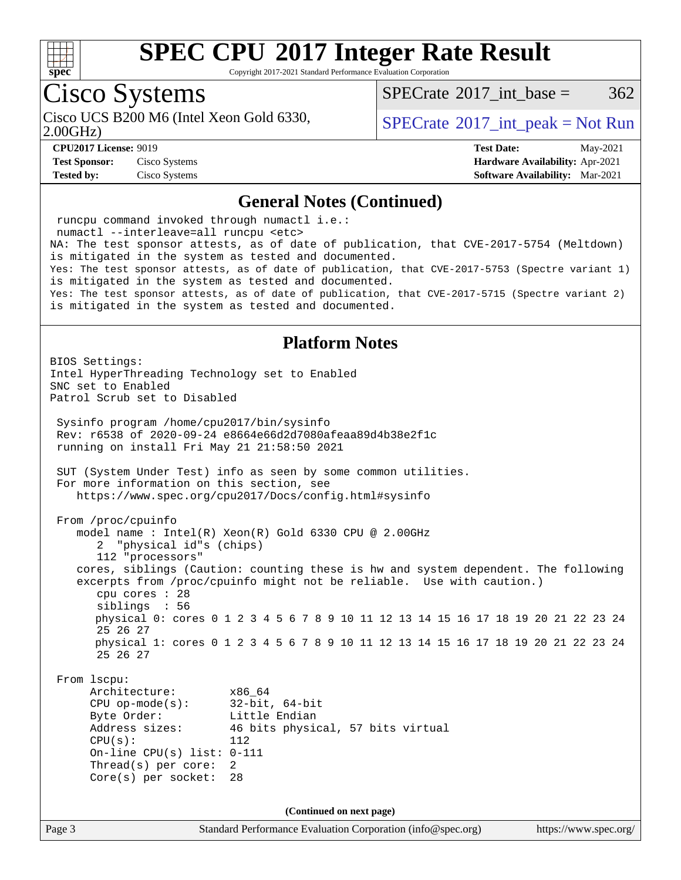

Copyright 2017-2021 Standard Performance Evaluation Corporation

## Cisco Systems

2.00GHz) Cisco UCS B200 M6 (Intel Xeon Gold 6330,  $SPECTR = SPECrate@2017 int peak = Not Run$  $SPECTR = SPECrate@2017 int peak = Not Run$  $SPECTR = SPECrate@2017 int peak = Not Run$ 

[SPECrate](http://www.spec.org/auto/cpu2017/Docs/result-fields.html#SPECrate2017intbase)<sup>®</sup>2017 int base =  $362$ 

**[CPU2017 License:](http://www.spec.org/auto/cpu2017/Docs/result-fields.html#CPU2017License)** 9019 **[Test Date:](http://www.spec.org/auto/cpu2017/Docs/result-fields.html#TestDate)** May-2021

**[Test Sponsor:](http://www.spec.org/auto/cpu2017/Docs/result-fields.html#TestSponsor)** Cisco Systems **[Hardware Availability:](http://www.spec.org/auto/cpu2017/Docs/result-fields.html#HardwareAvailability)** Apr-2021 **[Tested by:](http://www.spec.org/auto/cpu2017/Docs/result-fields.html#Testedby)** Cisco Systems **[Software Availability:](http://www.spec.org/auto/cpu2017/Docs/result-fields.html#SoftwareAvailability)** Mar-2021

### **[General Notes \(Continued\)](http://www.spec.org/auto/cpu2017/Docs/result-fields.html#GeneralNotes)**

Page 3 Standard Performance Evaluation Corporation [\(info@spec.org\)](mailto:info@spec.org) <https://www.spec.org/> runcpu command invoked through numactl i.e.: numactl --interleave=all runcpu <etc> NA: The test sponsor attests, as of date of publication, that CVE-2017-5754 (Meltdown) is mitigated in the system as tested and documented. Yes: The test sponsor attests, as of date of publication, that CVE-2017-5753 (Spectre variant 1) is mitigated in the system as tested and documented. Yes: The test sponsor attests, as of date of publication, that CVE-2017-5715 (Spectre variant 2) is mitigated in the system as tested and documented. **[Platform Notes](http://www.spec.org/auto/cpu2017/Docs/result-fields.html#PlatformNotes)** BIOS Settings: Intel HyperThreading Technology set to Enabled SNC set to Enabled Patrol Scrub set to Disabled Sysinfo program /home/cpu2017/bin/sysinfo Rev: r6538 of 2020-09-24 e8664e66d2d7080afeaa89d4b38e2f1c running on install Fri May 21 21:58:50 2021 SUT (System Under Test) info as seen by some common utilities. For more information on this section, see <https://www.spec.org/cpu2017/Docs/config.html#sysinfo> From /proc/cpuinfo model name : Intel(R) Xeon(R) Gold 6330 CPU @ 2.00GHz 2 "physical id"s (chips) 112 "processors" cores, siblings (Caution: counting these is hw and system dependent. The following excerpts from /proc/cpuinfo might not be reliable. Use with caution.) cpu cores : 28 siblings : 56 physical 0: cores 0 1 2 3 4 5 6 7 8 9 10 11 12 13 14 15 16 17 18 19 20 21 22 23 24 25 26 27 physical 1: cores 0 1 2 3 4 5 6 7 8 9 10 11 12 13 14 15 16 17 18 19 20 21 22 23 24 25 26 27 From lscpu: Architecture: x86\_64 CPU op-mode(s): 32-bit, 64-bit Byte Order: Little Endian Address sizes: 46 bits physical, 57 bits virtual  $CPU(s):$  112 On-line CPU(s) list: 0-111 Thread(s) per core: 2 Core(s) per socket: 28 **(Continued on next page)**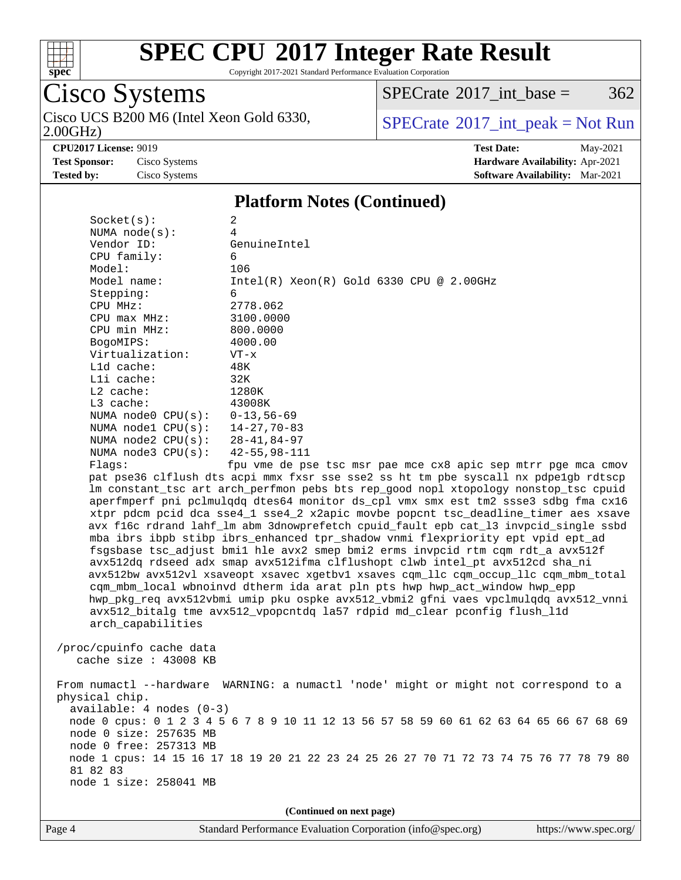

Copyright 2017-2021 Standard Performance Evaluation Corporation

## Cisco Systems

2.00GHz) Cisco UCS B200 M6 (Intel Xeon Gold 6330,  $\boxed{\text{SPECrate}^{\circ}2017\_int\_peak = Not Run}$  $\boxed{\text{SPECrate}^{\circ}2017\_int\_peak = Not Run}$  $\boxed{\text{SPECrate}^{\circ}2017\_int\_peak = Not Run}$ 

 $SPECTate$ <sup>®</sup>[2017\\_int\\_base =](http://www.spec.org/auto/cpu2017/Docs/result-fields.html#SPECrate2017intbase) 362

**[CPU2017 License:](http://www.spec.org/auto/cpu2017/Docs/result-fields.html#CPU2017License)** 9019 **[Test Date:](http://www.spec.org/auto/cpu2017/Docs/result-fields.html#TestDate)** May-2021 **[Test Sponsor:](http://www.spec.org/auto/cpu2017/Docs/result-fields.html#TestSponsor)** Cisco Systems **[Hardware Availability:](http://www.spec.org/auto/cpu2017/Docs/result-fields.html#HardwareAvailability)** Apr-2021 **[Tested by:](http://www.spec.org/auto/cpu2017/Docs/result-fields.html#Testedby)** Cisco Systems **[Software Availability:](http://www.spec.org/auto/cpu2017/Docs/result-fields.html#SoftwareAvailability)** Mar-2021

### **[Platform Notes \(Continued\)](http://www.spec.org/auto/cpu2017/Docs/result-fields.html#PlatformNotes)**

| Socket(s):               | 2                                                                                       |
|--------------------------|-----------------------------------------------------------------------------------------|
| NUMA $node(s):$          | 4                                                                                       |
| Vendor ID:               | GenuineIntel                                                                            |
| CPU family:              | 6                                                                                       |
| Model:                   | 106                                                                                     |
| Model name:              | $Intel(R) Xeon(R) Gold 6330 CPU @ 2.00GHz$                                              |
| Stepping:                | 6                                                                                       |
| CPU MHz:                 | 2778.062                                                                                |
| $CPU$ max $MHz$ :        | 3100.0000                                                                               |
| CPU min MHz:             | 800.0000                                                                                |
| BogoMIPS:                | 4000.00                                                                                 |
| Virtualization:          | $VT - x$                                                                                |
| $L1d$ cache:             | 48K                                                                                     |
| Lli cache:               | 32K                                                                                     |
| $L2$ cache:              | 1280K                                                                                   |
| $L3$ cache:              | 43008K                                                                                  |
| NUMA $node0$ $CPU(s):$   | $0 - 13, 56 - 69$                                                                       |
| NUMA $model$ $CPU(s):$   | $14 - 27,70 - 83$                                                                       |
| NUMA $node2$ $CPU(s):$   | $28 - 41, 84 - 97$                                                                      |
| NUMA $node3$ $CPU(s)$ :  | 42-55,98-111                                                                            |
| Flaqs:                   | fpu vme de pse tsc msr pae mce cx8 apic sep mtrr pge mca cmov                           |
|                          | pat pse36 clflush dts acpi mmx fxsr sse sse2 ss ht tm pbe syscall nx pdpelgb rdtscp     |
|                          | lm constant_tsc art arch_perfmon pebs bts rep_good nopl xtopology nonstop_tsc cpuid     |
|                          | aperfmperf pni pclmulqdq dtes64 monitor ds_cpl vmx smx est tm2 ssse3 sdbg fma cx16      |
|                          | xtpr pdcm pcid dca sse4_1 sse4_2 x2apic movbe popcnt tsc_deadline_timer aes xsave       |
|                          | avx f16c rdrand lahf_lm abm 3dnowprefetch cpuid_fault epb cat_13 invpcid_single ssbd    |
|                          | mba ibrs ibpb stibp ibrs_enhanced tpr_shadow vnmi flexpriority ept vpid ept_ad          |
|                          | fsgsbase tsc_adjust bmil hle avx2 smep bmi2 erms invpcid rtm cqm rdt_a avx512f          |
|                          | avx512dq rdseed adx smap avx512ifma clflushopt clwb intel_pt avx512cd sha_ni            |
|                          | avx512bw avx512vl xsaveopt xsavec xgetbvl xsaves cqm_llc cqm_occup_llc cqm_mbm_total    |
|                          |                                                                                         |
|                          | cqm_mbm_local wbnoinvd dtherm ida arat pln pts hwp hwp_act_window hwp_epp               |
|                          | hwp_pkg_req avx512vbmi umip pku ospke avx512_vbmi2 gfni vaes vpclmulqdq avx512_vnni     |
|                          | avx512_bitalg tme avx512_vpopcntdq la57 rdpid md_clear pconfig flush_l1d                |
| arch_capabilities        |                                                                                         |
|                          |                                                                                         |
| /proc/cpuinfo cache data |                                                                                         |
| cache size : 43008 KB    |                                                                                         |
|                          |                                                                                         |
|                          | From numactl --hardware WARNING: a numactl 'node' might or might not correspond to a    |
| physical chip.           |                                                                                         |
| available: 4 nodes (0-3) |                                                                                         |
|                          | node 0 cpus: 0 1 2 3 4 5 6 7 8 9 10 11 12 13 56 57 58 59 60 61 62 63 64 65 66 67 68 69  |
| node 0 size: 257635 MB   |                                                                                         |
| node 0 free: 257313 MB   |                                                                                         |
|                          | node 1 cpus: 14 15 16 17 18 19 20 21 22 23 24 25 26 27 70 71 72 73 74 75 76 77 78 79 80 |
| 81 82 83                 |                                                                                         |
| node 1 size: 258041 MB   |                                                                                         |
|                          |                                                                                         |
|                          |                                                                                         |

**(Continued on next page)**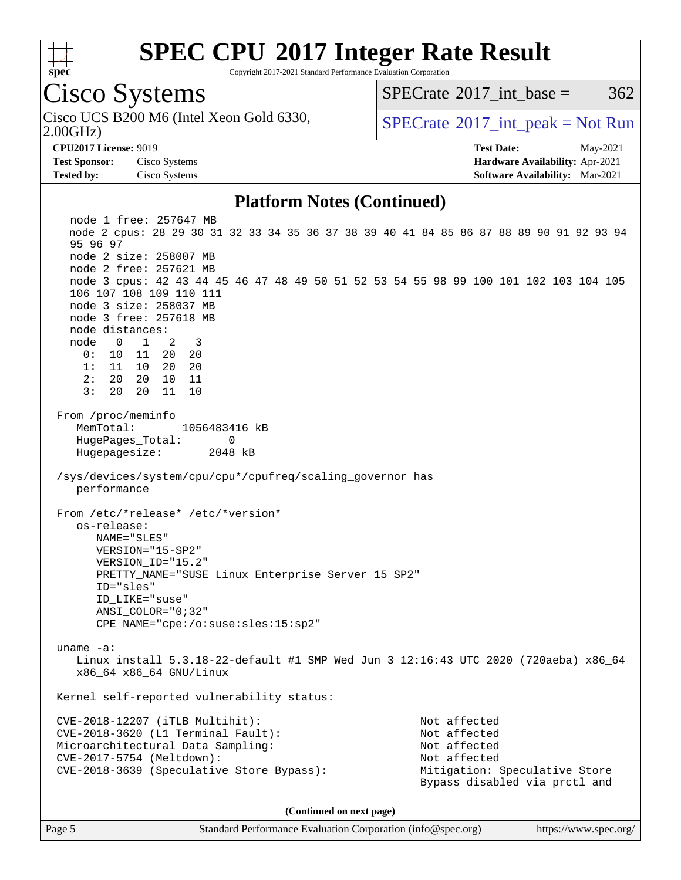

Copyright 2017-2021 Standard Performance Evaluation Corporation

Cisco Systems

2.00GHz) Cisco UCS B200 M6 (Intel Xeon Gold 6330,  $SPECrate^{\circ}2017\_int\_peak = Not Run$  $SPECrate^{\circ}2017\_int\_peak = Not Run$ 

[SPECrate](http://www.spec.org/auto/cpu2017/Docs/result-fields.html#SPECrate2017intbase)<sup>®</sup>2017 int base =  $362$ 

**[Test Sponsor:](http://www.spec.org/auto/cpu2017/Docs/result-fields.html#TestSponsor)** Cisco Systems **[Hardware Availability:](http://www.spec.org/auto/cpu2017/Docs/result-fields.html#HardwareAvailability)** Apr-2021 **[Tested by:](http://www.spec.org/auto/cpu2017/Docs/result-fields.html#Testedby)** Cisco Systems **[Software Availability:](http://www.spec.org/auto/cpu2017/Docs/result-fields.html#SoftwareAvailability)** Mar-2021

**[CPU2017 License:](http://www.spec.org/auto/cpu2017/Docs/result-fields.html#CPU2017License)** 9019 **[Test Date:](http://www.spec.org/auto/cpu2017/Docs/result-fields.html#TestDate)** May-2021

### **[Platform Notes \(Continued\)](http://www.spec.org/auto/cpu2017/Docs/result-fields.html#PlatformNotes)**

 node 1 free: 257647 MB node 2 cpus: 28 29 30 31 32 33 34 35 36 37 38 39 40 41 84 85 86 87 88 89 90 91 92 93 94 95 96 97 node 2 size: 258007 MB node 2 free: 257621 MB node 3 cpus: 42 43 44 45 46 47 48 49 50 51 52 53 54 55 98 99 100 101 102 103 104 105 106 107 108 109 110 111 node 3 size: 258037 MB node 3 free: 257618 MB node distances: node 0 1 2 3 0: 10 11 20 20 1: 11 10 20 20 2: 20 20 10 11 3: 20 20 11 10 From /proc/meminfo MemTotal: 1056483416 kB HugePages\_Total: 0 Hugepagesize: 2048 kB /sys/devices/system/cpu/cpu\*/cpufreq/scaling\_governor has performance From /etc/\*release\* /etc/\*version\* os-release: NAME="SLES" VERSION="15-SP2" VERSION\_ID="15.2" PRETTY\_NAME="SUSE Linux Enterprise Server 15 SP2" ID="sles" ID\_LIKE="suse" ANSI\_COLOR="0;32" CPE\_NAME="cpe:/o:suse:sles:15:sp2" uname -a: Linux install 5.3.18-22-default #1 SMP Wed Jun 3 12:16:43 UTC 2020 (720aeba) x86\_64 x86\_64 x86\_64 GNU/Linux Kernel self-reported vulnerability status: CVE-2018-12207 (iTLB Multihit): Not affected CVE-2018-3620 (L1 Terminal Fault): Not affected Microarchitectural Data Sampling: Not affected CVE-2017-5754 (Meltdown): Not affected CVE-2018-3639 (Speculative Store Bypass): Mitigation: Speculative Store Bypass disabled via prctl and **(Continued on next page)**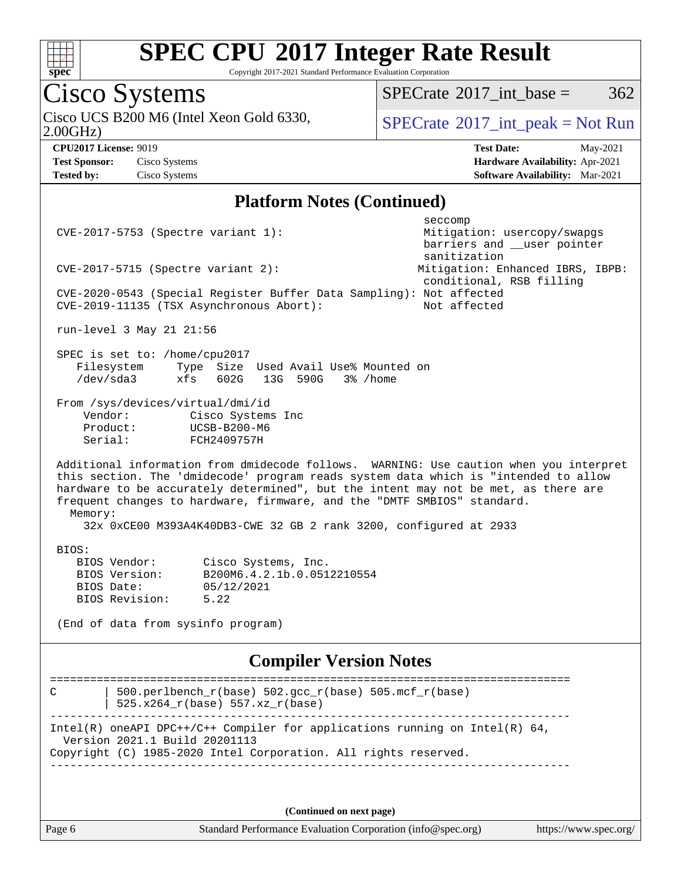

Copyright 2017-2021 Standard Performance Evaluation Corporation

# Cisco Systems<br>Cisco UCS B200 M6 (Intel Xeon Gold 6330,

 $SPECTate@2017_int\_base = 362$ 

2.00GHz)

 $SPECTate<sup>®</sup>2017_int_p [peak = Not Run]$ 

**[Tested by:](http://www.spec.org/auto/cpu2017/Docs/result-fields.html#Testedby)** Cisco Systems **[Software Availability:](http://www.spec.org/auto/cpu2017/Docs/result-fields.html#SoftwareAvailability)** Mar-2021

**[CPU2017 License:](http://www.spec.org/auto/cpu2017/Docs/result-fields.html#CPU2017License)** 9019 **[Test Date:](http://www.spec.org/auto/cpu2017/Docs/result-fields.html#TestDate)** May-2021 **[Test Sponsor:](http://www.spec.org/auto/cpu2017/Docs/result-fields.html#TestSponsor)** Cisco Systems **[Hardware Availability:](http://www.spec.org/auto/cpu2017/Docs/result-fields.html#HardwareAvailability)** Apr-2021

### **[Platform Notes \(Continued\)](http://www.spec.org/auto/cpu2017/Docs/result-fields.html#PlatformNotes)**

|                                                                     |                                                                                     | seccomp                                                                                |  |  |  |
|---------------------------------------------------------------------|-------------------------------------------------------------------------------------|----------------------------------------------------------------------------------------|--|--|--|
| CVE-2017-5753 (Spectre variant 1):                                  |                                                                                     | Mitigation: usercopy/swapgs                                                            |  |  |  |
|                                                                     |                                                                                     | barriers and __user pointer                                                            |  |  |  |
|                                                                     |                                                                                     | sanitization                                                                           |  |  |  |
| $CVE-2017-5715$ (Spectre variant 2):                                |                                                                                     | Mitigation: Enhanced IBRS, IBPB:                                                       |  |  |  |
|                                                                     | conditional, RSB filling                                                            |                                                                                        |  |  |  |
| CVE-2020-0543 (Special Register Buffer Data Sampling): Not affected |                                                                                     |                                                                                        |  |  |  |
| CVE-2019-11135 (TSX Asynchronous Abort):                            |                                                                                     | Not affected                                                                           |  |  |  |
| run-level 3 May 21 21:56                                            |                                                                                     |                                                                                        |  |  |  |
|                                                                     |                                                                                     |                                                                                        |  |  |  |
| SPEC is set to: /home/cpu2017                                       |                                                                                     |                                                                                        |  |  |  |
| Filesystem                                                          | Type Size Used Avail Use% Mounted on                                                |                                                                                        |  |  |  |
| $/\text{dev/sda}$ 3                                                 | 602G<br>xfs<br>590G<br>3% /home<br>13G                                              |                                                                                        |  |  |  |
|                                                                     |                                                                                     |                                                                                        |  |  |  |
| From /sys/devices/virtual/dmi/id                                    |                                                                                     |                                                                                        |  |  |  |
| Vendor:                                                             | Cisco Systems Inc                                                                   |                                                                                        |  |  |  |
| Product:<br>Serial:                                                 | UCSB-B200-M6                                                                        |                                                                                        |  |  |  |
|                                                                     | FCH2409757H                                                                         |                                                                                        |  |  |  |
|                                                                     |                                                                                     | Additional information from dmidecode follows. WARNING: Use caution when you interpret |  |  |  |
|                                                                     | this section. The 'dmidecode' program reads system data which is "intended to allow |                                                                                        |  |  |  |
|                                                                     | hardware to be accurately determined", but the intent may not be met, as there are  |                                                                                        |  |  |  |
|                                                                     | frequent changes to hardware, firmware, and the "DMTF SMBIOS" standard.             |                                                                                        |  |  |  |
| Memory:                                                             |                                                                                     |                                                                                        |  |  |  |
|                                                                     | 32x 0xCE00 M393A4K40DB3-CWE 32 GB 2 rank 3200, configured at 2933                   |                                                                                        |  |  |  |
|                                                                     |                                                                                     |                                                                                        |  |  |  |
| BIOS:                                                               |                                                                                     |                                                                                        |  |  |  |
| BIOS Vendor:                                                        | Cisco Systems, Inc.                                                                 |                                                                                        |  |  |  |
| BIOS Version:                                                       | B200M6.4.2.1b.0.0512210554                                                          |                                                                                        |  |  |  |
| BIOS Date:                                                          | 05/12/2021                                                                          |                                                                                        |  |  |  |
| BIOS Revision:                                                      | 5.22                                                                                |                                                                                        |  |  |  |
|                                                                     |                                                                                     |                                                                                        |  |  |  |
| (End of data from sysinfo program)                                  |                                                                                     |                                                                                        |  |  |  |
|                                                                     |                                                                                     |                                                                                        |  |  |  |
|                                                                     | <b>Compiler Version Notes</b>                                                       |                                                                                        |  |  |  |
| ==========                                                          |                                                                                     |                                                                                        |  |  |  |
| C                                                                   | 500.perlbench_r(base) 502.gcc_r(base) 505.mcf_r(base)                               |                                                                                        |  |  |  |
| 525.x264_r(base) 557.xz_r(base)                                     |                                                                                     |                                                                                        |  |  |  |
|                                                                     |                                                                                     |                                                                                        |  |  |  |
|                                                                     | $Intel(R)$ oneAPI DPC++/C++ Compiler for applications running on Intel(R) 64,       |                                                                                        |  |  |  |
| Version 2021.1 Build 20201113                                       |                                                                                     |                                                                                        |  |  |  |
| Copyright (C) 1985-2020 Intel Corporation. All rights reserved.     |                                                                                     |                                                                                        |  |  |  |
|                                                                     |                                                                                     |                                                                                        |  |  |  |
|                                                                     |                                                                                     |                                                                                        |  |  |  |
|                                                                     |                                                                                     |                                                                                        |  |  |  |

**(Continued on next page)**

Page 6 Standard Performance Evaluation Corporation [\(info@spec.org\)](mailto:info@spec.org) <https://www.spec.org/>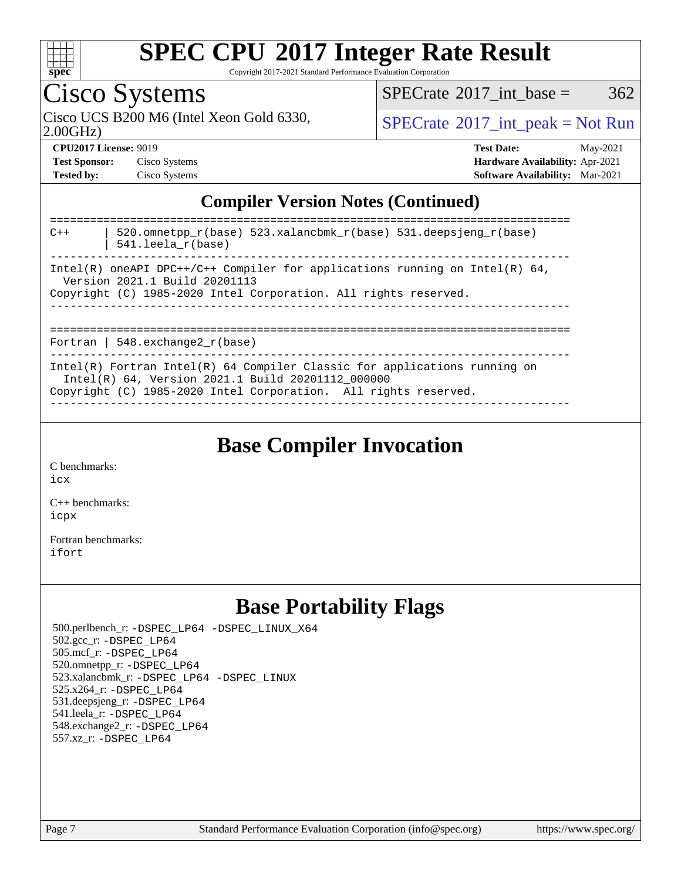

Copyright 2017-2021 Standard Performance Evaluation Corporation

## Cisco Systems

Cisco UCS B200 M6 (Intel Xeon Gold 6330,  $SPECTR = SPECrate^{\circ}2017\_int\_peak = Not Run$  $SPECTR = SPECrate^{\circ}2017\_int\_peak = Not Run$  $SPECTR = SPECrate^{\circ}2017\_int\_peak = Not Run$ 

 $SPECTate@2017\_int\_base = 362$ 

2.00GHz)

| <b>Test Sponsor:</b> | Cisco Systems |
|----------------------|---------------|
| <b>Tested by:</b>    | Cisco Systems |

**[CPU2017 License:](http://www.spec.org/auto/cpu2017/Docs/result-fields.html#CPU2017License)** 9019 **[Test Date:](http://www.spec.org/auto/cpu2017/Docs/result-fields.html#TestDate)** May-2021 **Test Systems Systems Systems Systems Systems Systems Systems Systems Systems Systems Systems Systems Systems Systems Systems Systems Systems Systems Systems Systems Systems Systems Systems Systems Systems Systems Systems [Software Availability:](http://www.spec.org/auto/cpu2017/Docs/result-fields.html#SoftwareAvailability)** Mar-2021

### **[Compiler Version Notes \(Continued\)](http://www.spec.org/auto/cpu2017/Docs/result-fields.html#CompilerVersionNotes)**

| 520.omnetpp $r(base)$ 523.xalancbmk $r(base)$ 531.deepsjeng $r(base)$<br>$C++$<br>$541.$ leela r(base)                                                                                              |
|-----------------------------------------------------------------------------------------------------------------------------------------------------------------------------------------------------|
| Intel(R) oneAPI DPC++/C++ Compiler for applications running on Intel(R) $64$ ,<br>Version 2021.1 Build 20201113<br>Copyright (C) 1985-2020 Intel Corporation. All rights reserved.                  |
| Fortran   548.exchange2 $r(base)$                                                                                                                                                                   |
| Intel(R) Fortran Intel(R) $64$ Compiler Classic for applications running on<br>Intel(R) 64, Version 2021.1 Build 20201112_000000<br>Copyright (C) 1985-2020 Intel Corporation. All rights reserved. |

**[Base Compiler Invocation](http://www.spec.org/auto/cpu2017/Docs/result-fields.html#BaseCompilerInvocation)**

[C benchmarks](http://www.spec.org/auto/cpu2017/Docs/result-fields.html#Cbenchmarks):

[icx](http://www.spec.org/cpu2017/results/res2021q2/cpu2017-20210525-26756.flags.html#user_CCbase_intel_icx_fe2d28d19ae2a5db7c42fe0f2a2aed77cb715edd4aeb23434404a8be6683fe239869bb6ca8154ca98265c2e3b9226a719a0efe2953a4a7018c379b7010ccf087)

[C++ benchmarks:](http://www.spec.org/auto/cpu2017/Docs/result-fields.html#CXXbenchmarks) [icpx](http://www.spec.org/cpu2017/results/res2021q2/cpu2017-20210525-26756.flags.html#user_CXXbase_intel_icpx_1e918ed14c436bf4b9b7c8bcdd51d4539fc71b3df010bd1e9f8732d9c34c2b2914e48204a846820f3c0ebb4095dea797a5c30b458ac0b6dffac65d78f781f5ca)

[Fortran benchmarks](http://www.spec.org/auto/cpu2017/Docs/result-fields.html#Fortranbenchmarks): [ifort](http://www.spec.org/cpu2017/results/res2021q2/cpu2017-20210525-26756.flags.html#user_FCbase_intel_ifort_8111460550e3ca792625aed983ce982f94888b8b503583aa7ba2b8303487b4d8a21a13e7191a45c5fd58ff318f48f9492884d4413fa793fd88dd292cad7027ca)

### **[Base Portability Flags](http://www.spec.org/auto/cpu2017/Docs/result-fields.html#BasePortabilityFlags)**

 500.perlbench\_r: [-DSPEC\\_LP64](http://www.spec.org/cpu2017/results/res2021q2/cpu2017-20210525-26756.flags.html#b500.perlbench_r_basePORTABILITY_DSPEC_LP64) [-DSPEC\\_LINUX\\_X64](http://www.spec.org/cpu2017/results/res2021q2/cpu2017-20210525-26756.flags.html#b500.perlbench_r_baseCPORTABILITY_DSPEC_LINUX_X64) 502.gcc\_r: [-DSPEC\\_LP64](http://www.spec.org/cpu2017/results/res2021q2/cpu2017-20210525-26756.flags.html#suite_basePORTABILITY502_gcc_r_DSPEC_LP64) 505.mcf\_r: [-DSPEC\\_LP64](http://www.spec.org/cpu2017/results/res2021q2/cpu2017-20210525-26756.flags.html#suite_basePORTABILITY505_mcf_r_DSPEC_LP64) 520.omnetpp\_r: [-DSPEC\\_LP64](http://www.spec.org/cpu2017/results/res2021q2/cpu2017-20210525-26756.flags.html#suite_basePORTABILITY520_omnetpp_r_DSPEC_LP64) 523.xalancbmk\_r: [-DSPEC\\_LP64](http://www.spec.org/cpu2017/results/res2021q2/cpu2017-20210525-26756.flags.html#suite_basePORTABILITY523_xalancbmk_r_DSPEC_LP64) [-DSPEC\\_LINUX](http://www.spec.org/cpu2017/results/res2021q2/cpu2017-20210525-26756.flags.html#b523.xalancbmk_r_baseCXXPORTABILITY_DSPEC_LINUX) 525.x264\_r: [-DSPEC\\_LP64](http://www.spec.org/cpu2017/results/res2021q2/cpu2017-20210525-26756.flags.html#suite_basePORTABILITY525_x264_r_DSPEC_LP64) 531.deepsjeng\_r: [-DSPEC\\_LP64](http://www.spec.org/cpu2017/results/res2021q2/cpu2017-20210525-26756.flags.html#suite_basePORTABILITY531_deepsjeng_r_DSPEC_LP64) 541.leela\_r: [-DSPEC\\_LP64](http://www.spec.org/cpu2017/results/res2021q2/cpu2017-20210525-26756.flags.html#suite_basePORTABILITY541_leela_r_DSPEC_LP64) 548.exchange2\_r: [-DSPEC\\_LP64](http://www.spec.org/cpu2017/results/res2021q2/cpu2017-20210525-26756.flags.html#suite_basePORTABILITY548_exchange2_r_DSPEC_LP64) 557.xz\_r: [-DSPEC\\_LP64](http://www.spec.org/cpu2017/results/res2021q2/cpu2017-20210525-26756.flags.html#suite_basePORTABILITY557_xz_r_DSPEC_LP64)